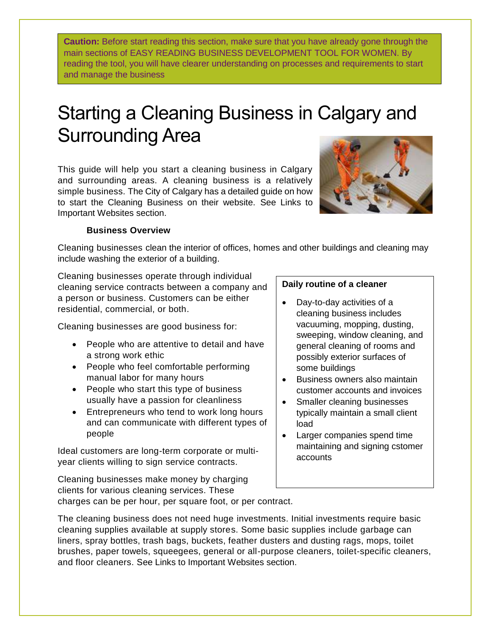**Caution:** Before start reading this section, make sure that you have already gone through the main sections of EASY READING BUSINESS DEVELOPMENT TOOL FOR WOMEN. By reading the tool, you will have clearer understanding on processes and requirements to start and manage the business

# Starting a Cleaning Business in Calgary and Surrounding Area

This guide will help you start a cleaning business in Calgary and surrounding areas. A cleaning business is a relatively simple business. The City of Calgary has a detailed guide on how to start the Cleaning Business on their website. See Links to Important Websites section.



## **Business Overview**

Cleaning businesses clean the interior of offices, homes and other buildings and cleaning may include washing the exterior of a building.

Cleaning businesses operate through individual cleaning service contracts between a company and a person or business. Customers can be either residential, commercial, or both.

Cleaning businesses are good business for:

- People who are attentive to detail and have a strong work ethic
- People who feel comfortable performing manual labor for many hours
- People who start this type of business usually have a passion for cleanliness
- Entrepreneurs who tend to work long hours and can communicate with different types of people

Ideal customers are long-term corporate or multiyear clients willing to sign service contracts.

#### **Daily routine of a cleaner**

- Day-to-day activities of a cleaning business includes vacuuming, mopping, dusting, sweeping, window cleaning, and general cleaning of rooms and possibly exterior surfaces of some buildings
- Business owners also maintain customer accounts and invoices
- Smaller cleaning businesses typically maintain a small client load
- Larger companies spend time maintaining and signing cstomer accounts

Cleaning businesses make money by charging clients for various cleaning services. These charges can be per hour, per square foot, or per contract.

The cleaning business does not need huge investments. Initial investments require basic cleaning supplies available at supply stores. Some basic supplies include garbage can liners, spray bottles, trash bags, buckets, feather dusters and dusting rags, mops, toilet brushes, paper towels, squeegees, general or all-purpose cleaners, toilet-specific cleaners, and floor cleaners. See Links to Important Websites section.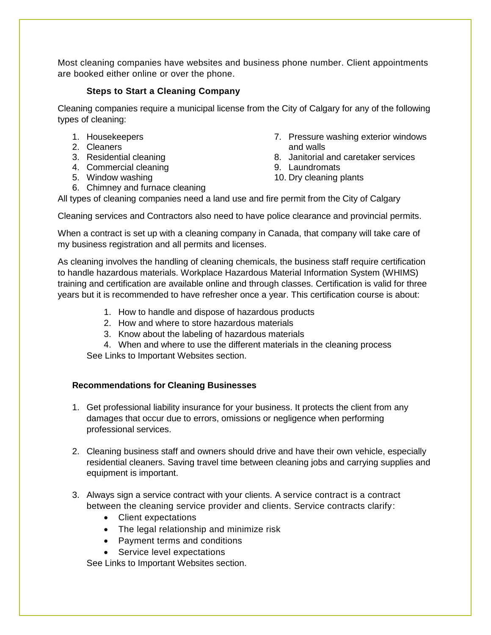Most cleaning companies have websites and business phone number. Client appointments are booked either online or over the phone.

### **Steps to Start a Cleaning Company**

Cleaning companies require a municipal license from the City of Calgary for any of the following types of cleaning:

- 1. Housekeepers
- 2. Cleaners
- 3. Residential cleaning
- 4. Commercial cleaning
- 5. Window washing
- 6. Chimney and furnace cleaning
- 7. Pressure washing exterior windows and walls
- 8. Janitorial and caretaker services
- 9. Laundromats
- 10. Dry cleaning plants

All types of cleaning companies need a land use and fire permit from the City of Calgary

Cleaning services and Contractors also need to have police clearance and provincial permits.

When a contract is set up with a cleaning company in Canada, that company will take care of my business registration and all permits and licenses.

As cleaning involves the handling of cleaning chemicals, the business staff require certification to handle hazardous materials. Workplace Hazardous Material Information System (WHIMS) training and certification are available online and through classes. Certification is valid for three years but it is recommended to have refresher once a year. This certification course is about:

- 1. How to handle and dispose of hazardous products
- 2. How and where to store hazardous materials
- 3. Know about the labeling of hazardous materials
- 4. When and where to use the different materials in the cleaning process

See Links to Important Websites section.

#### **Recommendations for Cleaning Businesses**

- 1. Get professional liability insurance for your business. It protects the client from any damages that occur due to errors, omissions or negligence when performing professional services.
- 2. Cleaning business staff and owners should drive and have their own vehicle, especially residential cleaners. Saving travel time between cleaning jobs and carrying supplies and equipment is important.
- 3. Always sign a service contract with your clients. A service contract is a contract between the cleaning service provider and clients. Service contracts clarify:
	- Client expectations
	- The legal relationship and minimize risk
	- Payment terms and conditions
	- Service level expectations

See Links to Important Websites section.